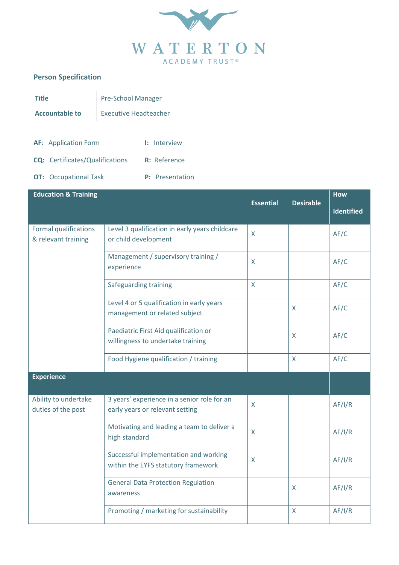

## **Person Specification**

| <b>Title</b>                                                                                          | Pre-School Manager                                                             |                  |                  |                                 |
|-------------------------------------------------------------------------------------------------------|--------------------------------------------------------------------------------|------------------|------------------|---------------------------------|
| <b>Accountable to</b>                                                                                 | <b>Executive Headteacher</b>                                                   |                  |                  |                                 |
| <b>AF:</b> Application Form<br><b>CQ:</b> Certificates/Qualifications<br><b>OT:</b> Occupational Task | I: Interview<br>R: Reference<br>P: Presentation                                |                  |                  |                                 |
| <b>Education &amp; Training</b>                                                                       |                                                                                | <b>Essential</b> | <b>Desirable</b> | <b>How</b><br><b>Identified</b> |
| <b>Formal qualifications</b><br>& relevant training                                                   | Level 3 qualification in early years childcare<br>or child development         | X                |                  | AF/C                            |
|                                                                                                       | Management / supervisory training /<br>experience                              | X                |                  | AF/C                            |
|                                                                                                       | Safeguarding training                                                          | $\mathsf{X}$     |                  | AF/C                            |
|                                                                                                       | Level 4 or 5 qualification in early years<br>management or related subject     |                  | X                | AF/C                            |
|                                                                                                       | Paediatric First Aid qualification or<br>willingness to undertake training     |                  | X                | AF/C                            |
|                                                                                                       | Food Hygiene qualification / training                                          |                  | X                | AF/C                            |
| <b>Experience</b>                                                                                     |                                                                                |                  |                  |                                 |
| Ability to undertake<br>duties of the post                                                            | 3 years' experience in a senior role for an<br>early years or relevant setting | X                |                  | AF/I/R                          |
|                                                                                                       | Motivating and leading a team to deliver a<br>high standard                    | X                |                  | AF/I/R                          |
|                                                                                                       | Successful implementation and working<br>within the EYFS statutory framework   | X                |                  | AF/I/R                          |
|                                                                                                       | <b>General Data Protection Regulation</b><br>awareness                         |                  | $\mathsf{X}$     | AF/I/R                          |
|                                                                                                       | Promoting / marketing for sustainability                                       |                  | X                | AF/I/R                          |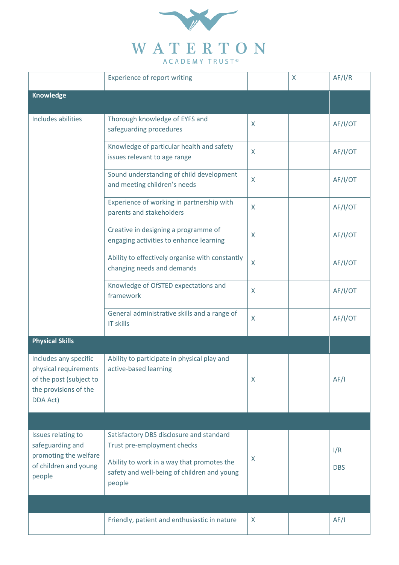

|                                                                                                                | <b>Experience of report writing</b>                                                                                                                                            |              | X | AF/I/R            |
|----------------------------------------------------------------------------------------------------------------|--------------------------------------------------------------------------------------------------------------------------------------------------------------------------------|--------------|---|-------------------|
| <b>Knowledge</b>                                                                                               |                                                                                                                                                                                |              |   |                   |
| Includes abilities                                                                                             | Thorough knowledge of EYFS and<br>safeguarding procedures                                                                                                                      | X            |   | AF/I/OT           |
|                                                                                                                | Knowledge of particular health and safety<br>issues relevant to age range                                                                                                      | X            |   | AF/I/OT           |
|                                                                                                                | Sound understanding of child development<br>and meeting children's needs                                                                                                       | X            |   | AF/I/OT           |
|                                                                                                                | Experience of working in partnership with<br>parents and stakeholders                                                                                                          | X            |   | AF/I/OT           |
|                                                                                                                | Creative in designing a programme of<br>engaging activities to enhance learning                                                                                                | X            |   | AF/I/OT           |
|                                                                                                                | Ability to effectively organise with constantly<br>changing needs and demands                                                                                                  | X            |   | AF/I/OT           |
|                                                                                                                | Knowledge of OfSTED expectations and<br>framework                                                                                                                              | X            |   | AF/I/OT           |
|                                                                                                                | General administrative skills and a range of<br><b>IT skills</b>                                                                                                               | X            |   | AF/I/OT           |
| <b>Physical Skills</b>                                                                                         |                                                                                                                                                                                |              |   |                   |
| Includes any specific<br>physical requirements<br>of the post (subject to<br>the provisions of the<br>DDA Act) | Ability to participate in physical play and<br>active-based learning                                                                                                           | X            |   | AF/I              |
|                                                                                                                |                                                                                                                                                                                |              |   |                   |
| Issues relating to<br>safeguarding and<br>promoting the welfare<br>of children and young<br>people             | Satisfactory DBS disclosure and standard<br>Trust pre-employment checks<br>Ability to work in a way that promotes the<br>safety and well-being of children and young<br>people | X            |   | I/R<br><b>DBS</b> |
|                                                                                                                |                                                                                                                                                                                |              |   |                   |
|                                                                                                                | Friendly, patient and enthusiastic in nature                                                                                                                                   | $\mathsf{X}$ |   | AF/I              |